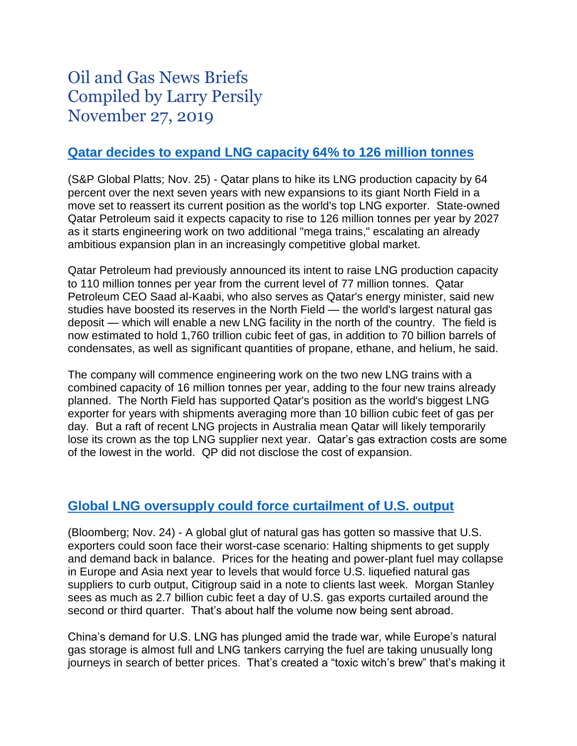# Oil and Gas News Briefs Compiled by Larry Persily November 27, 2019

#### **[Qatar decides to expand](https://www.spglobal.com/platts/en/market-insights/latest-news/natural-gas/112519-qatar-boosts-lng-expansion-production-target-of-126-million-mt-yr-by-2027) LNG capacity 64% to 126 million tonnes**

(S&P Global Platts; Nov. 25) - Qatar plans to hike its LNG production capacity by 64 percent over the next seven years with new expansions to its giant North Field in a move set to reassert its current position as the world's top LNG exporter. State-owned Qatar Petroleum said it expects capacity to rise to 126 million tonnes per year by 2027 as it starts engineering work on two additional "mega trains," escalating an already ambitious expansion plan in an increasingly competitive global market.

Qatar Petroleum had previously announced its intent to raise LNG production capacity to 110 million tonnes per year from the current level of 77 million tonnes. Qatar Petroleum CEO Saad al-Kaabi, who also serves as Qatar's energy minister, said new studies have boosted its reserves in the North Field — the world's largest natural gas deposit — which will enable a new LNG facility in the north of the country. The field is now estimated to hold 1,760 trillion cubic feet of gas, in addition to 70 billion barrels of condensates, as well as significant quantities of propane, ethane, and helium, he said.

The company will commence engineering work on the two new LNG trains with a combined capacity of 16 million tonnes per year, adding to the four new trains already planned. The North Field has supported Qatar's position as the world's biggest LNG exporter for years with shipments averaging more than 10 billion cubic feet of gas per day. But a raft of recent LNG projects in Australia mean Qatar will likely temporarily lose its crown as the top LNG supplier next year. Qatar's gas extraction costs are some of the lowest in the world. QP did not disclose the cost of expansion.

#### **[Global LNG oversupply could force curtailment of U.S. output](https://www.yahoo.com/finance/news/gas-witch-brew-u-exporters-000000440.html)**

(Bloomberg; Nov. 24) - A global glut of natural gas has gotten so massive that U.S. exporters could soon face their worst-case scenario: Halting shipments to get supply and demand back in balance. Prices for the heating and power-plant fuel may collapse in Europe and Asia next year to levels that would force U.S. liquefied natural gas suppliers to curb output, Citigroup said in a note to clients last week. Morgan Stanley sees as much as 2.7 billion cubic feet a day of U.S. gas exports curtailed around the second or third quarter. That's about half the volume now being sent abroad.

China's demand for U.S. LNG has plunged amid the trade war, while Europe's natural gas storage is almost full and LNG tankers carrying the fuel are taking unusually long journeys in search of better prices. That's created a "toxic witch's brew" that's making it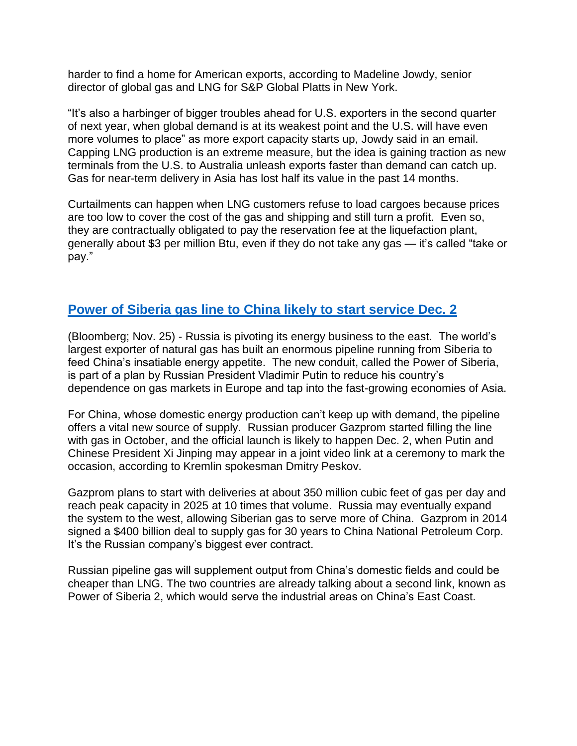harder to find a home for American exports, according to Madeline Jowdy, senior director of global gas and LNG for S&P Global Platts in New York.

"It's also a harbinger of bigger troubles ahead for U.S. exporters in the second quarter of next year, when global demand is at its weakest point and the U.S. will have even more volumes to place" as more export capacity starts up, Jowdy said in an email. Capping LNG production is an extreme measure, but the idea is gaining traction as new terminals from the U.S. to Australia unleash exports faster than demand can catch up. Gas for near-term delivery in Asia has lost half its value in the past 14 months.

Curtailments can happen when LNG customers refuse to load cargoes because prices are too low to cover the cost of the gas and shipping and still turn a profit. Even so, they are contractually obligated to pay the reservation fee at the liquefaction plant, generally about \$3 per million Btu, even if they do not take any gas — it's called "take or pay."

## **[Power of Siberia gas line to China likely to start service Dec. 2](https://www.bloombergquint.com/quicktakes/how-russia-china-gas-pipeline-changes-energy-calculus-quicktake)**

(Bloomberg; Nov. 25) - Russia is pivoting its energy business to the east. The world's largest exporter of natural gas has built an enormous pipeline running from Siberia to feed China's insatiable energy appetite. The new conduit, called the Power of Siberia, is part of a plan by Russian President Vladimir Putin to reduce his country's dependence on gas markets in Europe and tap into the fast-growing economies of Asia.

For China, whose domestic energy production can't keep up with demand, the pipeline offers a vital new source of supply. Russian producer Gazprom started filling the line with gas in October, and the official launch is likely to happen Dec. 2, when Putin and Chinese President Xi Jinping may appear in a joint video link at a ceremony to mark the occasion, according to Kremlin spokesman Dmitry Peskov.

Gazprom plans to start with deliveries at about 350 million cubic feet of gas per day and reach peak capacity in 2025 at 10 times that volume. Russia may eventually expand the system to the west, allowing Siberian gas to serve more of China. Gazprom in 2014 signed a \$400 billion deal to supply gas for 30 years to China National Petroleum Corp. It's the Russian company's biggest ever contract.

Russian pipeline gas will supplement output from China's domestic fields and could be cheaper than LNG. The two countries are already talking about a second link, known as Power of Siberia 2, which would serve the industrial areas on China's East Coast.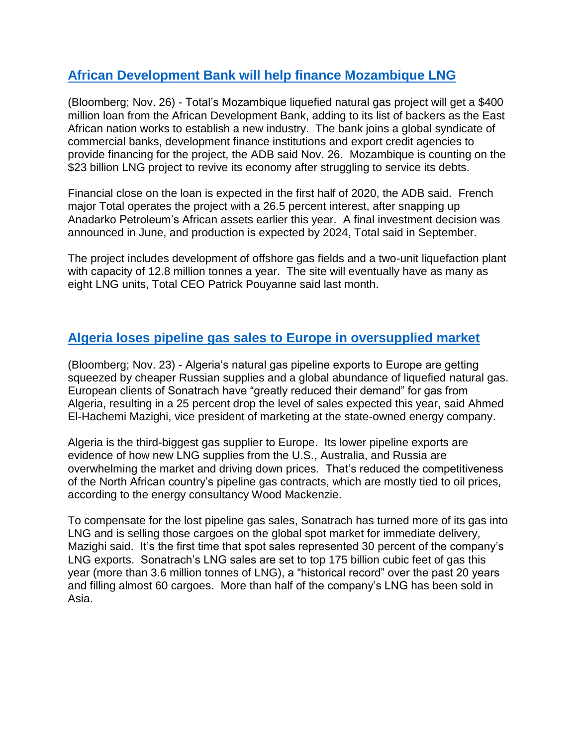# **[African Development Bank will help finance Mozambique LNG](https://www.msn.com/en-us/finance/news/total-e2-80-99s-mozambique-lng-project-gets-24400-million-loan-from-adb/ar-BBXlxKz)**

(Bloomberg; Nov. 26) - Total's Mozambique liquefied natural gas project will get a \$400 million loan from the African Development Bank, adding to its list of backers as the East African nation works to establish a new industry. The bank joins a global syndicate of commercial banks, development finance institutions and export credit agencies to provide financing for the project, the ADB said Nov. 26. Mozambique is counting on the \$23 billion LNG project to revive its economy after struggling to service its debts.

Financial close on the loan is expected in the first half of 2020, the ADB said. French major Total operates the project with a 26.5 percent interest, after snapping up Anadarko Petroleum's African assets earlier this year. A final investment decision was announced in June, and production is expected by 2024, Total said in September.

The project includes development of offshore gas fields and a two-unit liquefaction plant with capacity of 12.8 million tonnes a year. The site will eventually have as many as eight LNG units, Total CEO Patrick Pouyanne said last month.

# **[Algeria loses pipeline gas sales to Europe in oversupplied market](https://www.bloomberg.com/news/articles/2019-11-24/algeria-squeezed-in-europe-s-gas-market-by-a-flood-of-lng)**

(Bloomberg; Nov. 23) - Algeria's natural gas pipeline exports to Europe are getting squeezed by cheaper Russian supplies and a global abundance of liquefied natural gas. European clients of Sonatrach have "greatly reduced their demand" for gas from Algeria, resulting in a 25 percent drop the level of sales expected this year, said Ahmed El-Hachemi Mazighi, vice president of marketing at the state-owned energy company.

Algeria is the third-biggest gas supplier to Europe. Its lower pipeline exports are evidence of how new LNG supplies from the U.S., Australia, and Russia are overwhelming the market and driving down prices. That's reduced the competitiveness of the North African country's pipeline gas contracts, which are mostly tied to oil prices, according to the energy consultancy Wood Mackenzie.

To compensate for the lost pipeline gas sales, Sonatrach has turned more of its gas into LNG and is selling those cargoes on the global spot market for immediate delivery, Mazighi said. It's the first time that spot sales represented 30 percent of the company's LNG exports. Sonatrach's LNG sales are set to top 175 billion cubic feet of gas this year (more than 3.6 million tonnes of LNG), a "historical record" over the past 20 years and filling almost 60 cargoes. More than half of the company's LNG has been sold in Asia.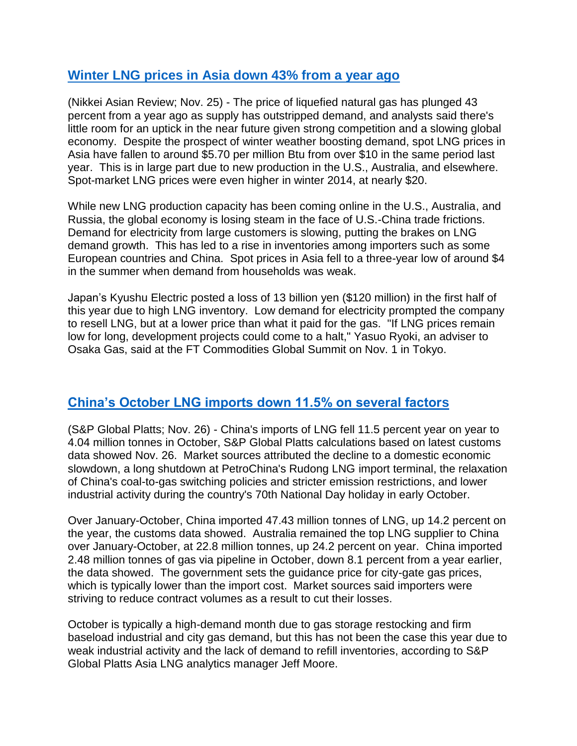## **Winter LNG [prices in Asia down 43% from a year ago](https://asia.nikkei.com/Business/Energy/LNG-prices-in-Asia-plunge-43-as-new-US-supply-hits-market)**

(Nikkei Asian Review; Nov. 25) - The price of liquefied natural gas has plunged 43 percent from a year ago as supply has outstripped demand, and analysts said there's little room for an uptick in the near future given strong competition and a slowing global economy. Despite the prospect of winter weather boosting demand, spot LNG prices in Asia have fallen to around \$5.70 per million Btu from over \$10 in the same period last year. This is in large part due to new production in the U.S., Australia, and elsewhere. Spot-market LNG prices were even higher in winter 2014, at nearly \$20.

While new LNG production capacity has been coming online in the U.S., Australia, and Russia, the global economy is losing steam in the face of U.S.-China trade frictions. Demand for electricity from large customers is slowing, putting the brakes on LNG demand growth. This has led to a rise in inventories among importers such as some European countries and China. Spot prices in Asia fell to a three-year low of around \$4 in the summer when demand from households was weak.

Japan's Kyushu Electric posted a loss of 13 billion yen (\$120 million) in the first half of this year due to high LNG inventory. Low demand for electricity prompted the company to resell LNG, but at a lower price than what it paid for the gas. "If LNG prices remain low for long, development projects could come to a halt," Yasuo Ryoki, an adviser to Osaka Gas, said at the FT Commodities Global Summit on Nov. 1 in Tokyo.

#### **[China's October LNG imports down 11.5% on several factors](https://www.spglobal.com/platts/en/market-insights/latest-news/natural-gas/112619-china-oct-lng-imports-fall-12-on-year-to-4-mil-mt)**

(S&P Global Platts; Nov. 26) - China's imports of LNG fell 11.5 percent year on year to 4.04 million tonnes in October, S&P Global Platts calculations based on latest customs data showed Nov. 26. Market sources attributed the decline to a domestic economic slowdown, a long shutdown at PetroChina's Rudong LNG import terminal, the relaxation of China's coal-to-gas switching policies and stricter emission restrictions, and lower industrial activity during the country's 70th National Day holiday in early October.

Over January-October, China imported 47.43 million tonnes of LNG, up 14.2 percent on the year, the customs data showed. Australia remained the top LNG supplier to China over January-October, at 22.8 million tonnes, up 24.2 percent on year. China imported 2.48 million tonnes of gas via pipeline in October, down 8.1 percent from a year earlier, the data showed. The government sets the guidance price for city-gate gas prices, which is typically lower than the import cost. Market sources said importers were striving to reduce contract volumes as a result to cut their losses.

October is typically a high-demand month due to gas storage restocking and firm baseload industrial and city gas demand, but this has not been the case this year due to weak industrial activity and the lack of demand to refill inventories, according to S&P Global Platts Asia LNG analytics manager Jeff Moore.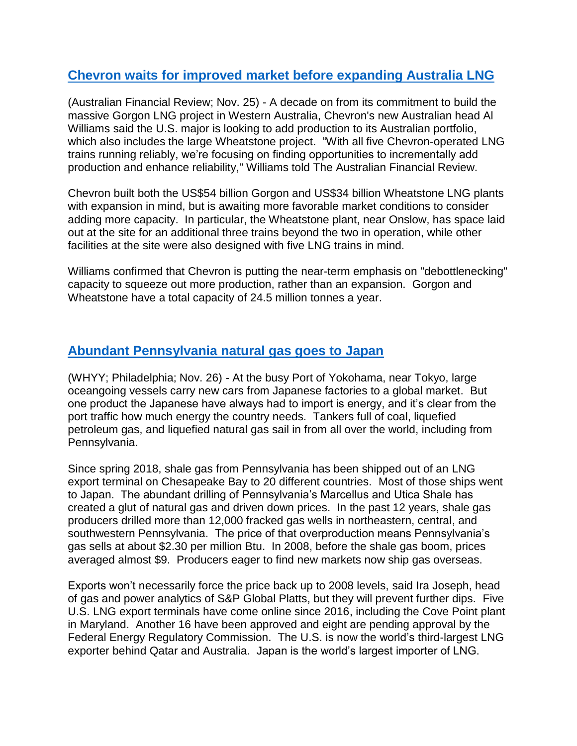# **[Chevron waits for improved market before expanding Australia LNG](https://www.afr.com/companies/energy/chevron-looking-to-build-on-gorgon-wheatstone-20191124-p53dnv)**

(Australian Financial Review; Nov. 25) - A decade on from its commitment to build the massive Gorgon LNG project in Western Australia, Chevron's new Australian head Al Williams said the U.S. major is looking to add production to its Australian portfolio, which also includes the large Wheatstone project. "With all five Chevron-operated LNG trains running reliably, we're focusing on finding opportunities to incrementally add production and enhance reliability," Williams told The Australian Financial Review.

Chevron built both the US\$54 billion Gorgon and US\$34 billion Wheatstone LNG plants with expansion in mind, but is awaiting more favorable market conditions to consider adding more capacity. In particular, the Wheatstone plant, near Onslow, has space laid out at the site for an additional three trains beyond the two in operation, while other facilities at the site were also designed with five LNG trains in mind.

Williams confirmed that Chevron is putting the near-term emphasis on "debottlenecking" capacity to squeeze out more production, rather than an expansion. Gorgon and Wheatstone have a total capacity of 24.5 million tonnes a year.

#### **[Abundant Pennsylvania natural gas goes to Japan](https://whyy.org/articles/pennsylvanias-lng-export-boom-heads-to-japan/)**

(WHYY; Philadelphia; Nov. 26) - At the busy Port of Yokohama, near Tokyo, large oceangoing vessels carry new cars from Japanese factories to a global market. But one product the Japanese have always had to import is energy, and it's clear from the port traffic how much energy the country needs. Tankers full of coal, liquefied petroleum gas, and liquefied natural gas sail in from all over the world, including from Pennsylvania.

Since spring 2018, shale gas from Pennsylvania has been shipped out of an LNG export terminal on Chesapeake Bay to 20 different countries. Most of those ships went to Japan. The abundant drilling of Pennsylvania's Marcellus and Utica Shale has created a glut of natural gas and driven down prices. In the past 12 years, shale gas producers drilled more than 12,000 fracked gas wells in northeastern, central, and southwestern Pennsylvania. The price of that overproduction means Pennsylvania's gas sells at about \$2.30 per million Btu. In 2008, before the shale gas boom, prices averaged almost \$9. Producers eager to find new markets now ship gas overseas.

Exports won't necessarily force the price back up to 2008 levels, said Ira Joseph, head of gas and power analytics of S&P Global Platts, but they will prevent further dips. Five U.S. LNG export terminals have come online since 2016, including the Cove Point plant in Maryland. Another 16 have been approved and eight are pending approval by the Federal Energy Regulatory Commission. The U.S. is now the world's third-largest LNG exporter behind Qatar and Australia. Japan is the world's largest importer of LNG.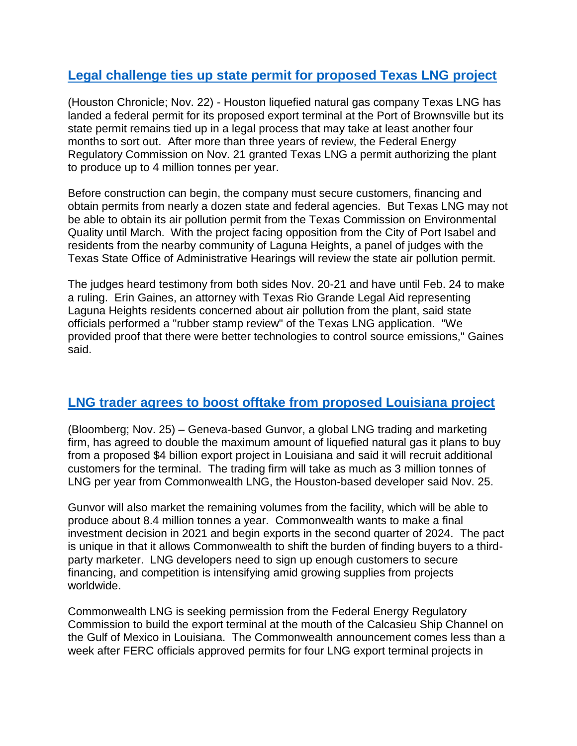# **[Legal challenge ties up state permit for proposed Texas LNG project](https://www.mrt.com/business/energy/article/State-permit-for-Texas-LNG-remains-up-in-the-air-14856457.php)**

(Houston Chronicle; Nov. 22) - Houston liquefied natural gas company Texas LNG has landed a federal permit for its proposed export terminal at the Port of Brownsville but its state permit remains tied up in a legal process that may take at least another four months to sort out. After more than three years of review, the Federal Energy Regulatory Commission on Nov. 21 granted Texas LNG a permit authorizing the plant to produce up to 4 million tonnes per year.

Before construction can begin, the company must secure customers, financing and obtain permits from nearly a dozen state and federal agencies. But Texas LNG may not be able to obtain its air pollution permit from the Texas Commission on Environmental Quality until March. With the project facing opposition from the City of Port Isabel and residents from the nearby community of Laguna Heights, a panel of judges with the Texas State Office of Administrative Hearings will review the state air pollution permit.

The judges heard testimony from both sides Nov. 20-21 and have until Feb. 24 to make a ruling. Erin Gaines, an attorney with Texas Rio Grande Legal Aid representing Laguna Heights residents concerned about air pollution from the plant, said state officials performed a "rubber stamp review" of the Texas LNG application. "We provided proof that there were better technologies to control source emissions," Gaines said.

#### **[LNG trader agrees to boost offtake from proposed Louisiana project](https://www.bloomberg.com/news/articles/2019-11-25/gunvor-to-market-lng-produced-at-4-billion-u-s-export-project)**

(Bloomberg; Nov. 25) – Geneva-based Gunvor, a global LNG trading and marketing firm, has agreed to double the maximum amount of liquefied natural gas it plans to buy from a proposed \$4 billion export project in Louisiana and said it will recruit additional customers for the terminal. The trading firm will take as much as 3 million tonnes of LNG per year from Commonwealth LNG, the Houston-based developer said Nov. 25.

Gunvor will also market the remaining volumes from the facility, which will be able to produce about 8.4 million tonnes a year. Commonwealth wants to make a final investment decision in 2021 and begin exports in the second quarter of 2024. The pact is unique in that it allows Commonwealth to shift the burden of finding buyers to a thirdparty marketer. LNG developers need to sign up enough customers to secure financing, and competition is intensifying amid growing supplies from projects worldwide.

Commonwealth LNG is seeking permission from the Federal Energy Regulatory Commission to build the export terminal at the mouth of the Calcasieu Ship Channel on the Gulf of Mexico in Louisiana. The Commonwealth announcement comes less than a week after FERC officials approved permits for four LNG export terminal projects in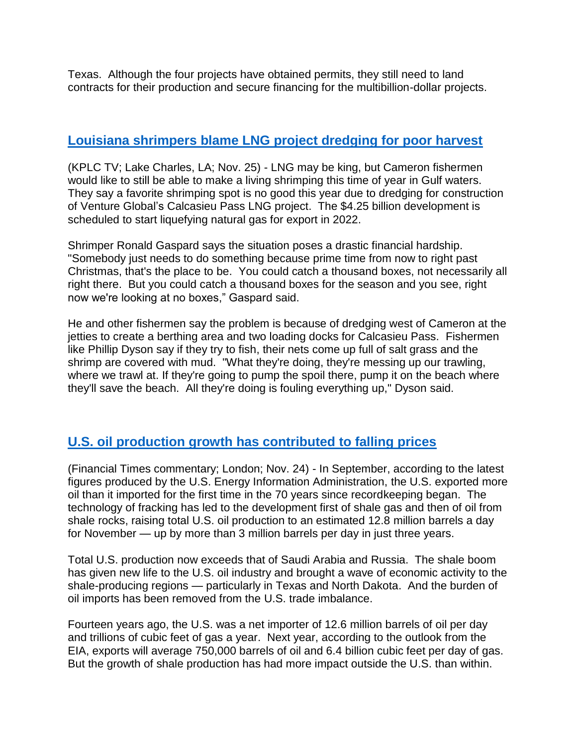Texas. Although the four projects have obtained permits, they still need to land contracts for their production and secure financing for the multibillion-dollar projects.

# **[Louisiana shrimpers blame LNG project dredging for poor harvest](https://www.kplctv.com/2019/11/26/cameron-shrimpers-complain-lng-dredging-ruining-prime-shrimping-spot/)**

(KPLC TV; Lake Charles, LA; Nov. 25) - LNG may be king, but Cameron fishermen would like to still be able to make a living shrimping this time of year in Gulf waters. They say a favorite shrimping spot is no good this year due to dredging for construction of Venture Global's Calcasieu Pass LNG project. The \$4.25 billion development is scheduled to start liquefying natural gas for export in 2022.

Shrimper Ronald Gaspard says the situation poses a drastic financial hardship. "Somebody just needs to do something because prime time from now to right past Christmas, that's the place to be. You could catch a thousand boxes, not necessarily all right there. But you could catch a thousand boxes for the season and you see, right now we're looking at no boxes," Gaspard said.

He and other fishermen say the problem is because of dredging west of Cameron at the jetties to create a berthing area and two loading docks for Calcasieu Pass. Fishermen like Phillip Dyson say if they try to fish, their nets come up full of salt grass and the shrimp are covered with mud. "What they're doing, they're messing up our trawling, where we trawl at. If they're going to pump the spoil there, pump it on the beach where they'll save the beach. All they're doing is fouling everything up," Dyson said.

# **[U.S. oil production growth has contributed to falling prices](https://www.ft.com/content/20870c24-0b86-11ea-b2d6-9bf4d1957a67)**

(Financial Times commentary; London; Nov. 24) - In September, according to the latest figures produced by the U.S. Energy Information Administration, the U.S. exported more oil than it imported for the first time in the 70 years since recordkeeping began. The technology of fracking has led to the development first of shale gas and then of oil from shale rocks, raising total U.S. oil production to an estimated 12.8 million barrels a day for November — up by more than 3 million barrels per day in just three years.

Total U.S. production now exceeds that of Saudi Arabia and Russia. The shale boom has given new life to the U.S. oil industry and brought a wave of economic activity to the shale-producing regions — particularly in Texas and North Dakota. And the burden of oil imports has been removed from the U.S. trade imbalance.

Fourteen years ago, the U.S. was a net importer of 12.6 million barrels of oil per day and trillions of cubic feet of gas a year. Next year, according to the outlook from the EIA, exports will average 750,000 barrels of oil and 6.4 billion cubic feet per day of gas. But the growth of shale production has had more impact outside the U.S. than within.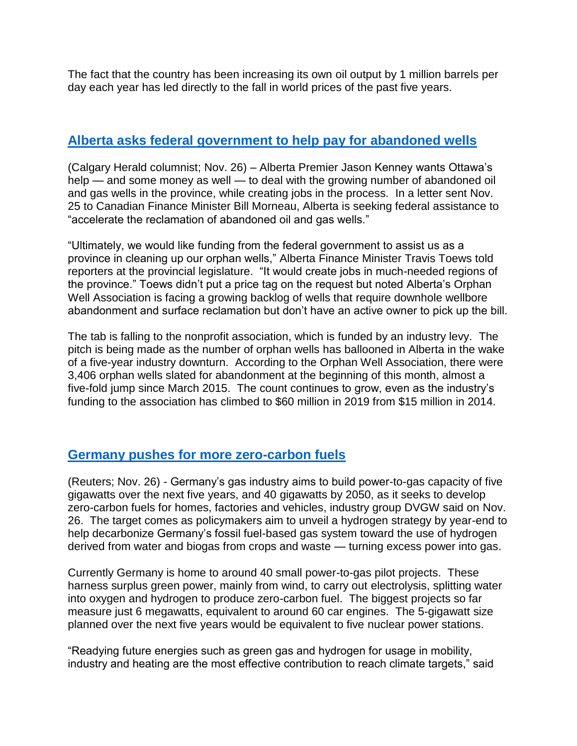The fact that the country has been increasing its own oil output by 1 million barrels per day each year has led directly to the fall in world prices of the past five years.

## **[Alberta asks federal government to help pay for abandoned wells](https://calgaryherald.com/opinion/columnists/varcoe-alberta-seeks-ottawas-help-and-money-in-cleaning-up-abandoned-wells)**

(Calgary Herald columnist; Nov. 26) – Alberta Premier Jason Kenney wants Ottawa's help — and some money as well — to deal with the growing number of abandoned oil and gas wells in the province, while creating jobs in the process. In a letter sent Nov. 25 to Canadian Finance Minister Bill Morneau, Alberta is seeking federal assistance to "accelerate the reclamation of abandoned oil and gas wells."

"Ultimately, we would like funding from the federal government to assist us as a province in cleaning up our orphan wells," Alberta Finance Minister Travis Toews told reporters at the provincial legislature. "It would create jobs in much-needed regions of the province." Toews didn't put a price tag on the request but noted Alberta's Orphan Well Association is facing a growing backlog of wells that require downhole wellbore abandonment and surface reclamation but don't have an active owner to pick up the bill.

The tab is falling to the nonprofit association, which is funded by an industry levy. The pitch is being made as the number of orphan wells has ballooned in Alberta in the wake of a five-year industry downturn. According to the Orphan Well Association, there were 3,406 orphan wells slated for abandonment at the beginning of this month, almost a five-fold jump since March 2015. The count continues to grow, even as the industry's funding to the association has climbed to \$60 million in 2019 from \$15 million in 2014.

#### **[Germany pushes for more zero-carbon fuels](https://uk.reuters.com/article/uk-germany-gas-conference/german-gas-industry-targets-5-gw-of-power-to-gas-capacity-in-five-years-idUKKBN1Y01UO?)**

(Reuters; Nov. 26) - Germany's gas industry aims to build power-to-gas capacity of five gigawatts over the next five years, and 40 gigawatts by 2050, as it seeks to develop zero-carbon fuels for homes, factories and vehicles, industry group DVGW said on Nov. 26. The target comes as policymakers aim to unveil a hydrogen strategy by year-end to help decarbonize Germany's fossil fuel-based gas system toward the use of hydrogen derived from water and biogas from crops and waste — turning excess power into gas.

Currently Germany is home to around 40 small power-to-gas pilot projects. These harness surplus green power, mainly from wind, to carry out electrolysis, splitting water into oxygen and hydrogen to produce zero-carbon fuel. The biggest projects so far measure just 6 megawatts, equivalent to around 60 car engines. The 5-gigawatt size planned over the next five years would be equivalent to five nuclear power stations.

"Readying future energies such as green gas and hydrogen for usage in mobility, industry and heating are the most effective contribution to reach climate targets," said